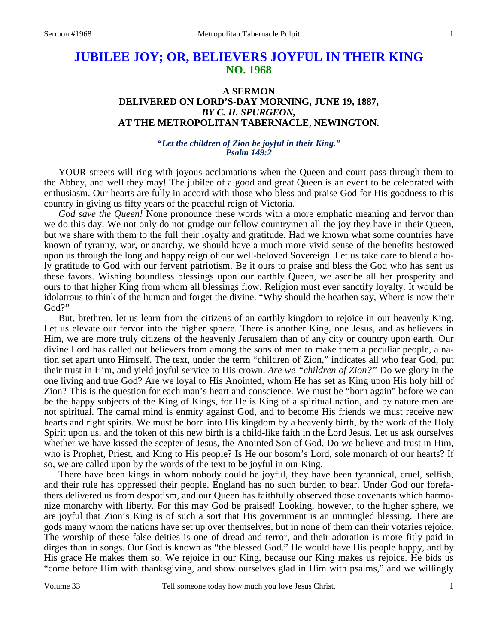# **JUBILEE JOY; OR, BELIEVERS JOYFUL IN THEIR KING NO. 1968**

# **A SERMON DELIVERED ON LORD'S-DAY MORNING, JUNE 19, 1887,**  *BY C. H. SPURGEON,*  **AT THE METROPOLITAN TABERNACLE, NEWINGTON.**

#### *"Let the children of Zion be joyful in their King." Psalm 149:2*

YOUR streets will ring with joyous acclamations when the Queen and court pass through them to the Abbey, and well they may! The jubilee of a good and great Queen is an event to be celebrated with enthusiasm. Our hearts are fully in accord with those who bless and praise God for His goodness to this country in giving us fifty years of the peaceful reign of Victoria.

*God save the Queen!* None pronounce these words with a more emphatic meaning and fervor than we do this day. We not only do not grudge our fellow countrymen all the joy they have in their Queen, but we share with them to the full their loyalty and gratitude. Had we known what some countries have known of tyranny, war, or anarchy, we should have a much more vivid sense of the benefits bestowed upon us through the long and happy reign of our well-beloved Sovereign. Let us take care to blend a holy gratitude to God with our fervent patriotism. Be it ours to praise and bless the God who has sent us these favors. Wishing boundless blessings upon our earthly Queen, we ascribe all her prosperity and ours to that higher King from whom all blessings flow. Religion must ever sanctify loyalty. It would be idolatrous to think of the human and forget the divine. "Why should the heathen say, Where is now their God?"

But, brethren, let us learn from the citizens of an earthly kingdom to rejoice in our heavenly King. Let us elevate our fervor into the higher sphere. There is another King, one Jesus, and as believers in Him, we are more truly citizens of the heavenly Jerusalem than of any city or country upon earth. Our divine Lord has called out believers from among the sons of men to make them a peculiar people, a nation set apart unto Himself. The text, under the term "children of Zion," indicates all who fear God, put their trust in Him, and yield joyful service to His crown. *Are we "children of Zion?"* Do we glory in the one living and true God? Are we loyal to His Anointed, whom He has set as King upon His holy hill of Zion? This is the question for each man's heart and conscience. We must be "born again" before we can be the happy subjects of the King of Kings, for He is King of a spiritual nation, and by nature men are not spiritual. The carnal mind is enmity against God, and to become His friends we must receive new hearts and right spirits. We must be born into His kingdom by a heavenly birth, by the work of the Holy Spirit upon us, and the token of this new birth is a child-like faith in the Lord Jesus. Let us ask ourselves whether we have kissed the scepter of Jesus, the Anointed Son of God. Do we believe and trust in Him, who is Prophet, Priest, and King to His people? Is He our bosom's Lord, sole monarch of our hearts? If so, we are called upon by the words of the text to be joyful in our King.

There have been kings in whom nobody could be joyful, they have been tyrannical, cruel, selfish, and their rule has oppressed their people. England has no such burden to bear. Under God our forefathers delivered us from despotism, and our Queen has faithfully observed those covenants which harmonize monarchy with liberty. For this may God be praised! Looking, however, to the higher sphere, we are joyful that Zion's King is of such a sort that His government is an unmingled blessing. There are gods many whom the nations have set up over themselves, but in none of them can their votaries rejoice. The worship of these false deities is one of dread and terror, and their adoration is more fitly paid in dirges than in songs. Our God is known as "the blessed God." He would have His people happy, and by His grace He makes them so. We rejoice in our King, because our King makes us rejoice. He bids us "come before Him with thanksgiving, and show ourselves glad in Him with psalms," and we willingly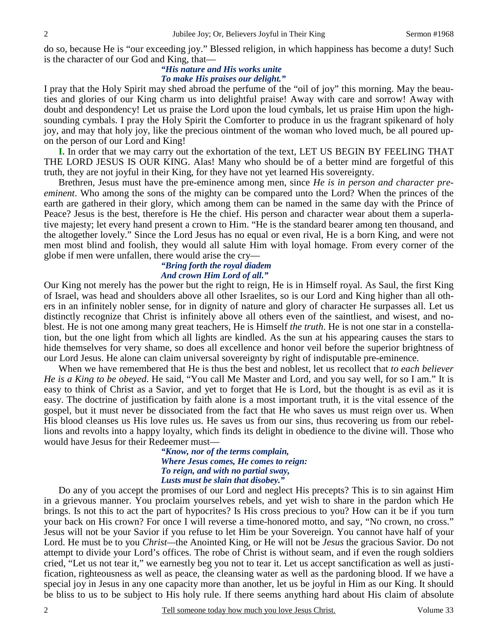do so, because He is "our exceeding joy." Blessed religion, in which happiness has become a duty! Such is the character of our God and King, that—

### *"His nature and His works unite To make His praises our delight."*

I pray that the Holy Spirit may shed abroad the perfume of the "oil of joy" this morning. May the beauties and glories of our King charm us into delightful praise! Away with care and sorrow! Away with doubt and despondency! Let us praise the Lord upon the loud cymbals, let us praise Him upon the highsounding cymbals. I pray the Holy Spirit the Comforter to produce in us the fragrant spikenard of holy joy, and may that holy joy, like the precious ointment of the woman who loved much, be all poured upon the person of our Lord and King!

**I.** In order that we may carry out the exhortation of the text, LET US BEGIN BY FEELING THAT THE LORD JESUS IS OUR KING. Alas! Many who should be of a better mind are forgetful of this truth, they are not joyful in their King, for they have not yet learned His sovereignty.

Brethren, Jesus must have the pre-eminence among men, since *He is in person and character preeminent*. Who among the sons of the mighty can be compared unto the Lord? When the princes of the earth are gathered in their glory, which among them can be named in the same day with the Prince of Peace? Jesus is the best, therefore is He the chief. His person and character wear about them a superlative majesty; let every hand present a crown to Him. "He is the standard bearer among ten thousand, and the altogether lovely." Since the Lord Jesus has no equal or even rival, He is a born King, and were not men most blind and foolish, they would all salute Him with loyal homage. From every corner of the globe if men were unfallen, there would arise the cry—

#### *"Bring forth the royal diadem And crown Him Lord of all."*

Our King not merely has the power but the right to reign, He is in Himself royal. As Saul, the first King of Israel, was head and shoulders above all other Israelites, so is our Lord and King higher than all others in an infinitely nobler sense, for in dignity of nature and glory of character He surpasses all. Let us distinctly recognize that Christ is infinitely above all others even of the saintliest, and wisest, and noblest. He is not one among many great teachers, He is Himself *the truth*. He is not one star in a constellation, but the one light from which all lights are kindled. As the sun at his appearing causes the stars to hide themselves for very shame, so does all excellence and honor veil before the superior brightness of our Lord Jesus. He alone can claim universal sovereignty by right of indisputable pre-eminence.

When we have remembered that He is thus the best and noblest, let us recollect that *to each believer He is a King to be obeyed*. He said, "You call Me Master and Lord, and you say well, for so I am." It is easy to think of Christ as a Savior, and yet to forget that He is Lord, but the thought is as evil as it is easy. The doctrine of justification by faith alone is a most important truth, it is the vital essence of the gospel, but it must never be dissociated from the fact that He who saves us must reign over us. When His blood cleanses us His love rules us. He saves us from our sins, thus recovering us from our rebellions and revolts into a happy loyalty, which finds its delight in obedience to the divine will. Those who would have Jesus for their Redeemer must—

> *"Know, nor of the terms complain, Where Jesus comes, He comes to reign: To reign, and with no partial sway, Lusts must be slain that disobey."*

Do any of you accept the promises of our Lord and neglect His precepts? This is to sin against Him in a grievous manner. You proclaim yourselves rebels, and yet wish to share in the pardon which He brings. Is not this to act the part of hypocrites? Is His cross precious to you? How can it be if you turn your back on His crown? For once I will reverse a time-honored motto, and say, "No crown, no cross." Jesus will not be your Savior if you refuse to let Him be your Sovereign. You cannot have half of your Lord. He must be to you *Christ—*the Anointed King, or He will not be *Jesus* the gracious Savior. Do not attempt to divide your Lord's offices. The robe of Christ is without seam, and if even the rough soldiers cried, "Let us not tear it," we earnestly beg you not to tear it. Let us accept sanctification as well as justification, righteousness as well as peace, the cleansing water as well as the pardoning blood. If we have a special joy in Jesus in any one capacity more than another, let us be joyful in Him as our King. It should be bliss to us to be subject to His holy rule. If there seems anything hard about His claim of absolute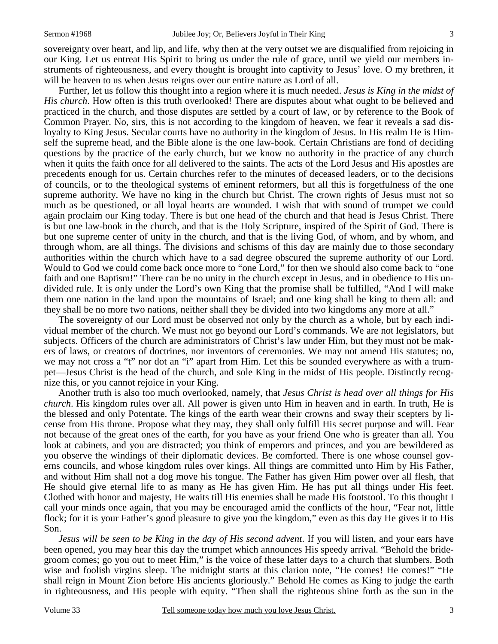sovereignty over heart, and lip, and life, why then at the very outset we are disqualified from rejoicing in our King. Let us entreat His Spirit to bring us under the rule of grace, until we yield our members instruments of righteousness, and every thought is brought into captivity to Jesus' love. O my brethren, it will be heaven to us when Jesus reigns over our entire nature as Lord of all.

Further, let us follow this thought into a region where it is much needed. *Jesus is King in the midst of His church*. How often is this truth overlooked! There are disputes about what ought to be believed and practiced in the church, and those disputes are settled by a court of law, or by reference to the Book of Common Prayer. No, sirs, this is not according to the kingdom of heaven, we fear it reveals a sad disloyalty to King Jesus. Secular courts have no authority in the kingdom of Jesus. In His realm He is Himself the supreme head, and the Bible alone is the one law-book. Certain Christians are fond of deciding questions by the practice of the early church, but we know no authority in the practice of any church when it quits the faith once for all delivered to the saints. The acts of the Lord Jesus and His apostles are precedents enough for us. Certain churches refer to the minutes of deceased leaders, or to the decisions of councils, or to the theological systems of eminent reformers, but all this is forgetfulness of the one supreme authority. We have no king in the church but Christ. The crown rights of Jesus must not so much as be questioned, or all loyal hearts are wounded. I wish that with sound of trumpet we could again proclaim our King today. There is but one head of the church and that head is Jesus Christ. There is but one law-book in the church, and that is the Holy Scripture, inspired of the Spirit of God. There is but one supreme center of unity in the church, and that is the living God, of whom, and by whom, and through whom, are all things. The divisions and schisms of this day are mainly due to those secondary authorities within the church which have to a sad degree obscured the supreme authority of our Lord. Would to God we could come back once more to "one Lord," for then we should also come back to "one faith and one Baptism!" There can be no unity in the church except in Jesus, and in obedience to His undivided rule. It is only under the Lord's own King that the promise shall be fulfilled, "And I will make them one nation in the land upon the mountains of Israel; and one king shall be king to them all: and they shall be no more two nations, neither shall they be divided into two kingdoms any more at all."

The sovereignty of our Lord must be observed not only by the church as a whole, but by each individual member of the church. We must not go beyond our Lord's commands. We are not legislators, but subjects. Officers of the church are administrators of Christ's law under Him, but they must not be makers of laws, or creators of doctrines, nor inventors of ceremonies. We may not amend His statutes; no, we may not cross a "t" nor dot an "i" apart from Him. Let this be sounded everywhere as with a trumpet—Jesus Christ is the head of the church, and sole King in the midst of His people. Distinctly recognize this, or you cannot rejoice in your King.

Another truth is also too much overlooked, namely, that *Jesus Christ is head over all things for His church*. His kingdom rules over all. All power is given unto Him in heaven and in earth. In truth, He is the blessed and only Potentate. The kings of the earth wear their crowns and sway their scepters by license from His throne. Propose what they may, they shall only fulfill His secret purpose and will. Fear not because of the great ones of the earth, for you have as your friend One who is greater than all. You look at cabinets, and you are distracted; you think of emperors and princes, and you are bewildered as you observe the windings of their diplomatic devices. Be comforted. There is one whose counsel governs councils, and whose kingdom rules over kings. All things are committed unto Him by His Father, and without Him shall not a dog move his tongue. The Father has given Him power over all flesh, that He should give eternal life to as many as He has given Him. He has put all things under His feet. Clothed with honor and majesty, He waits till His enemies shall be made His footstool. To this thought I call your minds once again, that you may be encouraged amid the conflicts of the hour, "Fear not, little flock; for it is your Father's good pleasure to give you the kingdom," even as this day He gives it to His Son.

*Jesus will be seen to be King in the day of His second advent*. If you will listen, and your ears have been opened, you may hear this day the trumpet which announces His speedy arrival. "Behold the bridegroom comes; go you out to meet Him," is the voice of these latter days to a church that slumbers. Both wise and foolish virgins sleep. The midnight starts at this clarion note, "He comes! He comes!" "He shall reign in Mount Zion before His ancients gloriously." Behold He comes as King to judge the earth in righteousness, and His people with equity. "Then shall the righteous shine forth as the sun in the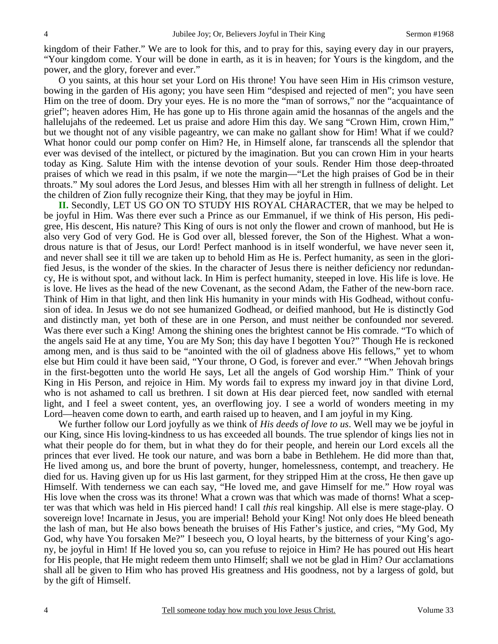kingdom of their Father." We are to look for this, and to pray for this, saying every day in our prayers, "Your kingdom come. Your will be done in earth, as it is in heaven; for Yours is the kingdom, and the power, and the glory, forever and ever."

O you saints, at this hour set your Lord on His throne! You have seen Him in His crimson vesture, bowing in the garden of His agony; you have seen Him "despised and rejected of men"; you have seen Him on the tree of doom. Dry your eyes. He is no more the "man of sorrows," nor the "acquaintance of grief"; heaven adores Him, He has gone up to His throne again amid the hosannas of the angels and the hallelujahs of the redeemed. Let us praise and adore Him this day. We sang "Crown Him, crown Him," but we thought not of any visible pageantry, we can make no gallant show for Him! What if we could? What honor could our pomp confer on Him? He, in Himself alone, far transcends all the splendor that ever was devised of the intellect, or pictured by the imagination. But you can crown Him in your hearts today as King. Salute Him with the intense devotion of your souls. Render Him those deep-throated praises of which we read in this psalm, if we note the margin—"Let the high praises of God be in their throats." My soul adores the Lord Jesus, and blesses Him with all her strength in fullness of delight. Let the children of Zion fully recognize their King, that they may be joyful in Him.

**II.** Secondly, LET US GO ON TO STUDY HIS ROYAL CHARACTER, that we may be helped to be joyful in Him. Was there ever such a Prince as our Emmanuel, if we think of His person, His pedigree, His descent, His nature? This King of ours is not only the flower and crown of manhood, but He is also very God of very God. He is God over all, blessed forever, the Son of the Highest. What a wondrous nature is that of Jesus, our Lord! Perfect manhood is in itself wonderful, we have never seen it, and never shall see it till we are taken up to behold Him as He is. Perfect humanity, as seen in the glorified Jesus, is the wonder of the skies. In the character of Jesus there is neither deficiency nor redundancy, He is without spot, and without lack. In Him is perfect humanity, steeped in love. His life is love. He is love. He lives as the head of the new Covenant, as the second Adam, the Father of the new-born race. Think of Him in that light, and then link His humanity in your minds with His Godhead, without confusion of idea. In Jesus we do not see humanized Godhead, or deified manhood, but He is distinctly God and distinctly man, yet both of these are in one Person, and must neither be confounded nor severed. Was there ever such a King! Among the shining ones the brightest cannot be His comrade. "To which of the angels said He at any time, You are My Son; this day have I begotten You?" Though He is reckoned among men, and is thus said to be "anointed with the oil of gladness above His fellows," yet to whom else but Him could it have been said, "Your throne, O God, is forever and ever." "When Jehovah brings in the first-begotten unto the world He says, Let all the angels of God worship Him." Think of your King in His Person, and rejoice in Him. My words fail to express my inward joy in that divine Lord, who is not ashamed to call us brethren. I sit down at His dear pierced feet, now sandled with eternal light, and I feel a sweet content, yes, an overflowing joy. I see a world of wonders meeting in my Lord—heaven come down to earth, and earth raised up to heaven, and I am joyful in my King.

We further follow our Lord joyfully as we think of *His deeds of love to us*. Well may we be joyful in our King, since His loving-kindness to us has exceeded all bounds. The true splendor of kings lies not in what their people do for them, but in what they do for their people, and herein our Lord excels all the princes that ever lived. He took our nature, and was born a babe in Bethlehem. He did more than that, He lived among us, and bore the brunt of poverty, hunger, homelessness, contempt, and treachery. He died for us. Having given up for us His last garment, for they stripped Him at the cross, He then gave up Himself. With tenderness we can each say, "He loved me, and gave Himself for me." How royal was His love when the cross was its throne! What a crown was that which was made of thorns! What a scepter was that which was held in His pierced hand! I call *this* real kingship. All else is mere stage-play. O sovereign love! Incarnate in Jesus, you are imperial! Behold your King! Not only does He bleed beneath the lash of man, but He also bows beneath the bruises of His Father's justice, and cries, "My God, My God, why have You forsaken Me?" I beseech you, O loyal hearts, by the bitterness of your King's agony, be joyful in Him! If He loved you so, can you refuse to rejoice in Him? He has poured out His heart for His people, that He might redeem them unto Himself; shall we not be glad in Him? Our acclamations shall all be given to Him who has proved His greatness and His goodness, not by a largess of gold, but by the gift of Himself.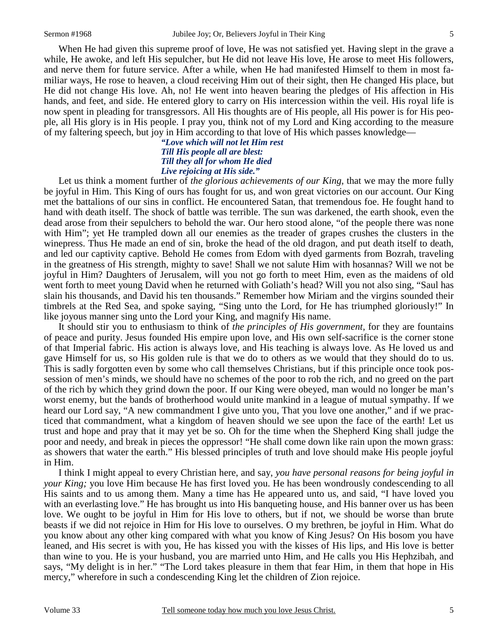When He had given this supreme proof of love, He was not satisfied yet. Having slept in the grave a while, He awoke, and left His sepulcher, but He did not leave His love, He arose to meet His followers, and nerve them for future service. After a while, when He had manifested Himself to them in most familiar ways, He rose to heaven, a cloud receiving Him out of their sight, then He changed His place, but He did not change His love. Ah, no! He went into heaven bearing the pledges of His affection in His hands, and feet, and side. He entered glory to carry on His intercession within the veil. His royal life is now spent in pleading for transgressors. All His thoughts are of His people, all His power is for His people, all His glory is in His people. I pray you, think not of my Lord and King according to the measure of my faltering speech, but joy in Him according to that love of His which passes knowledge—

> *"Love which will not let Him rest Till His people all are blest: Till they all for whom He died Live rejoicing at His side."*

Let us think a moment further of *the glorious achievements of our King,* that we may the more fully be joyful in Him. This King of ours has fought for us, and won great victories on our account. Our King met the battalions of our sins in conflict. He encountered Satan, that tremendous foe. He fought hand to hand with death itself. The shock of battle was terrible. The sun was darkened, the earth shook, even the dead arose from their sepulchers to behold the war. Our hero stood alone, "of the people there was none with Him"; yet He trampled down all our enemies as the treader of grapes crushes the clusters in the winepress. Thus He made an end of sin, broke the head of the old dragon, and put death itself to death, and led our captivity captive. Behold He comes from Edom with dyed garments from Bozrah, traveling in the greatness of His strength, mighty to save! Shall we not salute Him with hosannas? Will we not be joyful in Him? Daughters of Jerusalem, will you not go forth to meet Him, even as the maidens of old went forth to meet young David when he returned with Goliath's head? Will you not also sing, "Saul has slain his thousands, and David his ten thousands." Remember how Miriam and the virgins sounded their timbrels at the Red Sea, and spoke saying, "Sing unto the Lord, for He has triumphed gloriously!" In like joyous manner sing unto the Lord your King, and magnify His name.

It should stir you to enthusiasm to think of *the principles of His government,* for they are fountains of peace and purity. Jesus founded His empire upon love, and His own self-sacrifice is the corner stone of that Imperial fabric. His action is always love, and His teaching is always love. As He loved us and gave Himself for us, so His golden rule is that we do to others as we would that they should do to us. This is sadly forgotten even by some who call themselves Christians, but if this principle once took possession of men's minds, we should have no schemes of the poor to rob the rich, and no greed on the part of the rich by which they grind down the poor. If our King were obeyed, man would no longer be man's worst enemy, but the bands of brotherhood would unite mankind in a league of mutual sympathy. If we heard our Lord say, "A new commandment I give unto you, That you love one another," and if we practiced that commandment, what a kingdom of heaven should we see upon the face of the earth! Let us trust and hope and pray that it may yet be so. Oh for the time when the Shepherd King shall judge the poor and needy, and break in pieces the oppressor! "He shall come down like rain upon the mown grass: as showers that water the earth." His blessed principles of truth and love should make His people joyful in Him.

I think I might appeal to every Christian here, and say, *you have personal reasons for being joyful in your King;* you love Him because He has first loved you. He has been wondrously condescending to all His saints and to us among them. Many a time has He appeared unto us, and said, "I have loved you with an everlasting love." He has brought us into His banqueting house, and His banner over us has been love. We ought to be joyful in Him for His love to others, but if not, we should be worse than brute beasts if we did not rejoice in Him for His love to ourselves. O my brethren, be joyful in Him. What do you know about any other king compared with what you know of King Jesus? On His bosom you have leaned, and His secret is with you, He has kissed you with the kisses of His lips, and His love is better than wine to you. He is your husband, you are married unto Him, and He calls you His Hephzibah, and says, "My delight is in her." "The Lord takes pleasure in them that fear Him, in them that hope in His mercy," wherefore in such a condescending King let the children of Zion rejoice.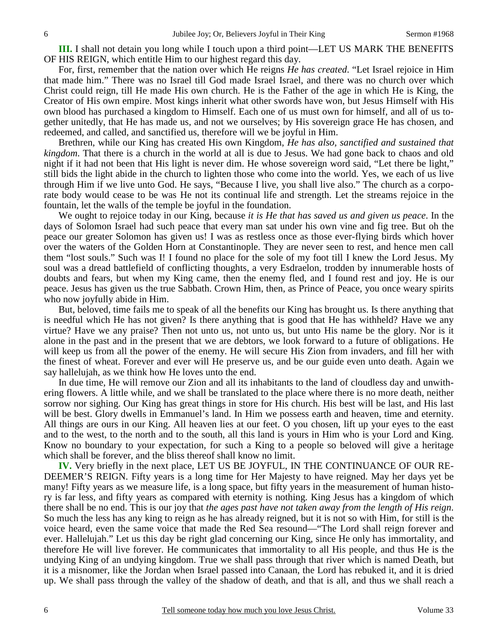**III.** I shall not detain you long while I touch upon a third point—LET US MARK THE BENEFITS OF HIS REIGN, which entitle Him to our highest regard this day.

For, first, remember that the nation over which He reigns *He has created*. "Let Israel rejoice in Him that made him." There was no Israel till God made Israel Israel, and there was no church over which Christ could reign, till He made His own church. He is the Father of the age in which He is King, the Creator of His own empire. Most kings inherit what other swords have won, but Jesus Himself with His own blood has purchased a kingdom to Himself. Each one of us must own for himself, and all of us together unitedly, that He has made us, and not we ourselves; by His sovereign grace He has chosen, and redeemed, and called, and sanctified us, therefore will we be joyful in Him.

Brethren, while our King has created His own Kingdom, *He has also, sanctified and sustained that kingdom*. That there is a church in the world at all is due to Jesus. We had gone back to chaos and old night if it had not been that His light is never dim. He whose sovereign word said, "Let there be light," still bids the light abide in the church to lighten those who come into the world. Yes, we each of us live through Him if we live unto God. He says, "Because I live, you shall live also." The church as a corporate body would cease to be was He not its continual life and strength. Let the streams rejoice in the fountain, let the walls of the temple be joyful in the foundation.

We ought to rejoice today in our King, because *it is He that has saved us and given us peace*. In the days of Solomon Israel had such peace that every man sat under his own vine and fig tree. But oh the peace our greater Solomon has given us! I was as restless once as those ever-flying birds which hover over the waters of the Golden Horn at Constantinople. They are never seen to rest, and hence men call them "lost souls." Such was I! I found no place for the sole of my foot till I knew the Lord Jesus. My soul was a dread battlefield of conflicting thoughts, a very Esdraelon, trodden by innumerable hosts of doubts and fears, but when my King came, then the enemy fled, and I found rest and joy. He is our peace. Jesus has given us the true Sabbath. Crown Him, then, as Prince of Peace, you once weary spirits who now joyfully abide in Him.

But, beloved, time fails me to speak of all the benefits our King has brought us. Is there anything that is needful which He has not given? Is there anything that is good that He has withheld? Have we any virtue? Have we any praise? Then not unto us, not unto us, but unto His name be the glory. Nor is it alone in the past and in the present that we are debtors, we look forward to a future of obligations. He will keep us from all the power of the enemy. He will secure His Zion from invaders, and fill her with the finest of wheat. Forever and ever will He preserve us, and be our guide even unto death. Again we say hallelujah, as we think how He loves unto the end.

In due time, He will remove our Zion and all its inhabitants to the land of cloudless day and unwithering flowers. A little while, and we shall be translated to the place where there is no more death, neither sorrow nor sighing. Our King has great things in store for His church. His best will be last, and His last will be best. Glory dwells in Emmanuel's land. In Him we possess earth and heaven, time and eternity. All things are ours in our King. All heaven lies at our feet. O you chosen, lift up your eyes to the east and to the west, to the north and to the south, all this land is yours in Him who is your Lord and King. Know no boundary to your expectation, for such a King to a people so beloved will give a heritage which shall be forever, and the bliss thereof shall know no limit.

**IV.** Very briefly in the next place, LET US BE JOYFUL, IN THE CONTINUANCE OF OUR RE-DEEMER'S REIGN. Fifty years is a long time for Her Majesty to have reigned. May her days yet be many! Fifty years as we measure life, is a long space, but fifty years in the measurement of human history is far less, and fifty years as compared with eternity is nothing. King Jesus has a kingdom of which there shall be no end. This is our joy that *the ages past have not taken away from the length of His reign*. So much the less has any king to reign as he has already reigned, but it is not so with Him, for still is the voice heard, even the same voice that made the Red Sea resound—"The Lord shall reign forever and ever. Hallelujah." Let us this day be right glad concerning our King, since He only has immortality, and therefore He will live forever. He communicates that immortality to all His people, and thus He is the undying King of an undying kingdom. True we shall pass through that river which is named Death, but it is a misnomer, like the Jordan when Israel passed into Canaan, the Lord has rebuked it, and it is dried up. We shall pass through the valley of the shadow of death, and that is all, and thus we shall reach a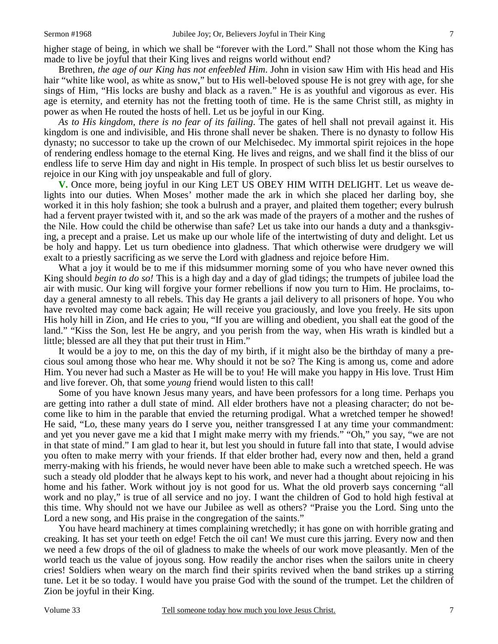higher stage of being, in which we shall be "forever with the Lord." Shall not those whom the King has made to live be joyful that their King lives and reigns world without end?

Brethren, *the age of our King has not enfeebled Him*. John in vision saw Him with His head and His hair "white like wool, as white as snow," but to His well-beloved spouse He is not grey with age, for she sings of Him, "His locks are bushy and black as a raven." He is as youthful and vigorous as ever. His age is eternity, and eternity has not the fretting tooth of time. He is the same Christ still, as mighty in power as when He routed the hosts of hell. Let us be joyful in our King.

*As to His kingdom, there is no fear of its failing*. The gates of hell shall not prevail against it. His kingdom is one and indivisible, and His throne shall never be shaken. There is no dynasty to follow His dynasty; no successor to take up the crown of our Melchisedec. My immortal spirit rejoices in the hope of rendering endless homage to the eternal King. He lives and reigns, and we shall find it the bliss of our endless life to serve Him day and night in His temple. In prospect of such bliss let us bestir ourselves to rejoice in our King with joy unspeakable and full of glory.

**V.** Once more, being joyful in our King LET US OBEY HIM WITH DELIGHT. Let us weave delights into our duties. When Moses' mother made the ark in which she placed her darling boy, she worked it in this holy fashion; she took a bulrush and a prayer, and plaited them together; every bulrush had a fervent prayer twisted with it, and so the ark was made of the prayers of a mother and the rushes of the Nile. How could the child be otherwise than safe? Let us take into our hands a duty and a thanksgiving, a precept and a praise. Let us make up our whole life of the intertwisting of duty and delight. Let us be holy and happy. Let us turn obedience into gladness. That which otherwise were drudgery we will exalt to a priestly sacrificing as we serve the Lord with gladness and rejoice before Him.

What a joy it would be to me if this midsummer morning some of you who have never owned this King should *begin to do so!* This is a high day and a day of glad tidings; the trumpets of jubilee load the air with music. Our king will forgive your former rebellions if now you turn to Him. He proclaims, today a general amnesty to all rebels. This day He grants a jail delivery to all prisoners of hope. You who have revolted may come back again; He will receive you graciously, and love you freely. He sits upon His holy hill in Zion, and He cries to you, "If you are willing and obedient, you shall eat the good of the land." "Kiss the Son, lest He be angry, and you perish from the way, when His wrath is kindled but a little; blessed are all they that put their trust in Him."

It would be a joy to me, on this the day of my birth, if it might also be the birthday of many a precious soul among those who hear me. Why should it not be so? The King is among us, come and adore Him. You never had such a Master as He will be to you! He will make you happy in His love. Trust Him and live forever. Oh, that some *young* friend would listen to this call!

Some of you have known Jesus many years, and have been professors for a long time. Perhaps you are getting into rather a dull state of mind. All elder brothers have not a pleasing character; do not become like to him in the parable that envied the returning prodigal. What a wretched temper he showed! He said, "Lo, these many years do I serve you, neither transgressed I at any time your commandment: and yet you never gave me a kid that I might make merry with my friends." "Oh," you say, "we are not in that state of mind." I am glad to hear it, but lest you should in future fall into that state, I would advise you often to make merry with your friends. If that elder brother had, every now and then, held a grand merry-making with his friends, he would never have been able to make such a wretched speech. He was such a steady old plodder that he always kept to his work, and never had a thought about rejoicing in his home and his father. Work without joy is not good for us. What the old proverb says concerning "all work and no play," is true of all service and no joy. I want the children of God to hold high festival at this time. Why should not we have our Jubilee as well as others? "Praise you the Lord. Sing unto the Lord a new song, and His praise in the congregation of the saints."

You have heard machinery at times complaining wretchedly; it has gone on with horrible grating and creaking. It has set your teeth on edge! Fetch the oil can! We must cure this jarring. Every now and then we need a few drops of the oil of gladness to make the wheels of our work move pleasantly. Men of the world teach us the value of joyous song. How readily the anchor rises when the sailors unite in cheery cries! Soldiers when weary on the march find their spirits revived when the band strikes up a stirring tune. Let it be so today. I would have you praise God with the sound of the trumpet. Let the children of Zion be joyful in their King.